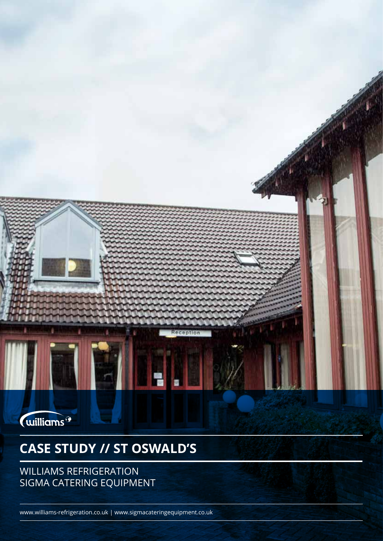

## **CASE STUDY // ST OSWALD'S**

WILLIAMS REFRIGERATION SIGMA CATERING EQUIPMENT

www.williams-refrigeration.co.uk | www.sigmacateringequipment.co.uk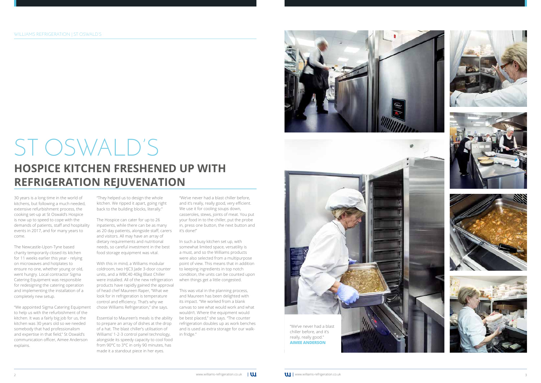30 years is a long time in the world of kitchens, but following a much needed, extensive refurbishment process, the cooking set-up at St Oswald's Hospice is now up to speed to cope with the demands of patients, staff and hospitality events in 2017, and for many years to come.

The Newcastle-Upon-Tyne based charity temporarily closed its kitchen for 11 weeks earlier this year - relying on microwaves and hotplates to ensure no one, whether young or old, went hungry. Local contractor Sigma Catering Equipment was responsible for redesigning the catering operation and implementing the installation of a completely new setup.

"We appointed Sigma Catering Equipment chose Williams Refrigeration," she says. to help us with the refurbishment of the kitchen. It was a fairly big job for us, the kitchen was 30 years old so we needed somebody that had professionalism and expertise in that field," St Oswald's communication officer, Aimee Anderson explains.

"They helped us to design the whole kitchen. We ripped it apart, going right back to the building blocks, literally."

The Hospice can cater for up to 26 inpatients, while there can be as many as 20 day patients, alongside staff, carers and visitors. All may have an array of dietary requirements and nutritional needs, so careful investment in the best food storage equipment was vital.

With this in mind, a Williams modular coldroom, two HJC3 Jade 3-door counter units, and a WBC40 40kg Blast Chiller were installed. All of the new refrigeration products have rapidly gained the approval of head chef Maureen Raper, "What we look for in refrigeration is temperature control and efficiency. That's why we

Essential to Maureen's meals is the ability to prepare an array of dishes at the drop of a hat. The blast chiller's utilisation of Williams' 1-2-3 control panel technology, alongside its speedy capacity to cool food from 90°C to 3°C in only 90 minutes, has made it a standout piece in her eyes.

"We've never had a blast chiller before, and it's really, really good, very efficient. We use it for cooling soups down, casseroles, stews, joints of meat. You put your food in to the chiller, put the probe in, press one button, the next button and it's done!"

In such a busy kitchen set up, with somewhat limited space, versatility is a must, and so the Williams products were also selected from a multipurpose point of view. This means that in addition to keeping ingredients in top notch condition, the units can be counted upon when things get a little congested.

This was vital in the planning process, and Maureen has been delighted with its impact. "We worked from a blank canvas to see what would work and what wouldn't. Where the equipment would be best placed," she says. "The counter refrigeration doubles up as work benches and is used as extra storage for our walkin fridge."



## **HOSPICE KITCHEN FRESHENED UP WITH REFRIGERATION REJUVENATION**  ST OSWALD'S